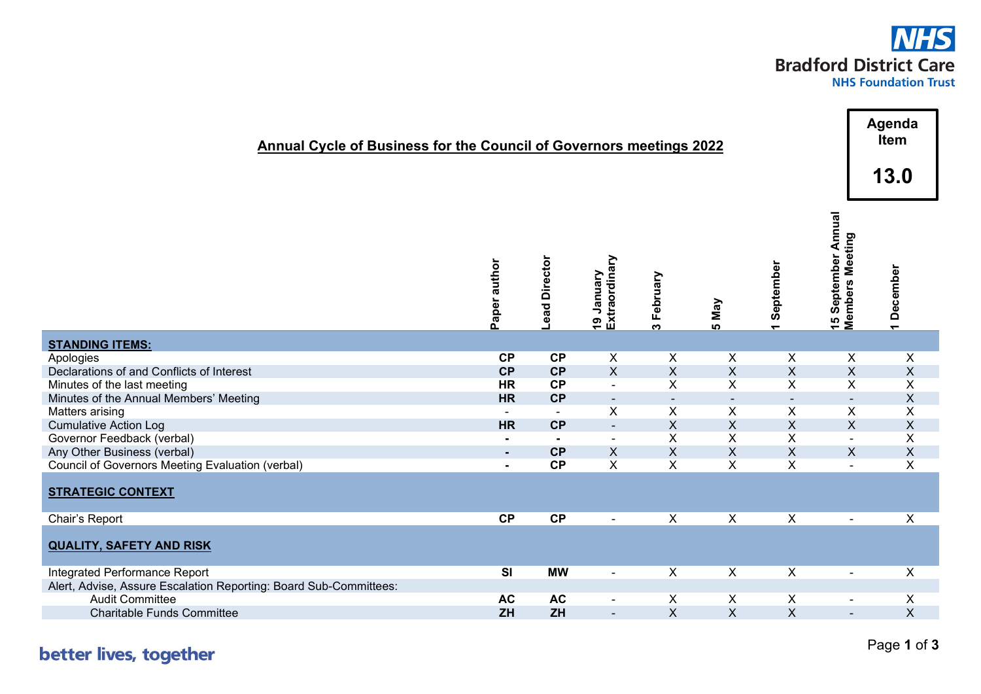

| <b>Annual Cycle of Business for the Council of Governors meetings 2022</b>   |                         |                      |                                      |                         |                         |                                       |                                                             | Agenda<br>Item                       |
|------------------------------------------------------------------------------|-------------------------|----------------------|--------------------------------------|-------------------------|-------------------------|---------------------------------------|-------------------------------------------------------------|--------------------------------------|
|                                                                              |                         |                      |                                      |                         |                         |                                       |                                                             | 13.0                                 |
|                                                                              | Paper author            | <b>Lead Director</b> | Extraordinary<br>Vienual<br><u>ღ</u> | February<br>ო           | Nay<br><u> ທ</u>        | September<br>$\overline{\phantom{0}}$ | September Annual<br><b>Members Meeting</b><br>$\frac{5}{1}$ | December<br>$\overline{\phantom{0}}$ |
| <b>STANDING ITEMS:</b>                                                       |                         |                      |                                      |                         |                         |                                       |                                                             |                                      |
| Apologies                                                                    | CP                      | CP                   | X                                    | X                       | X                       | X                                     | $\sf X$                                                     | X                                    |
| Declarations of and Conflicts of Interest                                    | CP                      | CP                   | $\mathsf{X}$                         | $\mathsf{X}% _{0}$      | $\overline{\mathsf{X}}$ | $\boldsymbol{\mathsf{X}}$             | $\pmb{\times}$                                              | $\pmb{\mathsf{X}}$                   |
| Minutes of the last meeting                                                  | <b>HR</b>               | CP                   | $\blacksquare$                       | $\mathsf{X}$            | X                       | $\overline{X}$                        | $\pmb{\times}$                                              | X                                    |
| Minutes of the Annual Members' Meeting                                       | <b>HR</b>               | CP                   | $\blacksquare$                       | $\blacksquare$          | $\blacksquare$          | $\sim$                                | $\sim$                                                      | $\sf X$                              |
| Matters arising                                                              | $\sim$                  | $\sim$               | X                                    | X                       | X                       | $\pmb{\times}$                        | $\pmb{\times}$                                              | X                                    |
| <b>Cumulative Action Log</b>                                                 | <b>HR</b>               | CP                   | ÷.                                   | $\sf X$                 | $\sf X$                 | $\mathsf X$                           | $\boldsymbol{\mathsf{X}}$                                   | $\pmb{\mathsf{X}}$                   |
| Governor Feedback (verbal)                                                   | $\blacksquare$          | $\blacksquare$       | $\blacksquare$                       | X                       | X                       | X                                     | $\overline{a}$                                              | Χ                                    |
| Any Other Business (verbal)                                                  | $\sim$                  | CP<br>CP             | $\sf X$<br>$\sf X$                   | $\sf X$<br>X            | $\sf X$<br>$\sf X$      | $\sf X$<br>X                          | $\boldsymbol{\mathsf{X}}$                                   | $\pmb{\mathsf{X}}$                   |
| Council of Governors Meeting Evaluation (verbal)<br><b>STRATEGIC CONTEXT</b> | $\blacksquare$          |                      |                                      |                         |                         |                                       | $\blacksquare$                                              | X                                    |
| Chair's Report                                                               | <b>CP</b>               | <b>CP</b>            | $\blacksquare$                       | X                       | $\pmb{\times}$          | $\pmb{\times}$                        | $\blacksquare$                                              | X                                    |
| <b>QUALITY, SAFETY AND RISK</b>                                              |                         |                      |                                      |                         |                         |                                       |                                                             |                                      |
| Integrated Performance Report                                                | $\overline{\mathbf{S}}$ | <b>MW</b>            | $\blacksquare$                       | X                       | $\pmb{\times}$          | $\overline{\mathsf{x}}$               | $\blacksquare$                                              | $\overline{\mathsf{x}}$              |
| Alert, Advise, Assure Escalation Reporting: Board Sub-Committees:            |                         |                      |                                      |                         |                         |                                       |                                                             |                                      |
| <b>Audit Committee</b>                                                       | <b>AC</b>               | <b>AC</b>            | $\overline{\phantom{a}}$             | X                       | X                       | X                                     | $\blacksquare$                                              | X                                    |
| <b>Charitable Funds Committee</b>                                            | ZH                      | ZH                   | $\blacksquare$                       | $\overline{\mathsf{X}}$ | $\overline{\mathsf{X}}$ | $\mathsf X$                           | $\blacksquare$                                              | $\sf X$                              |

better lives, together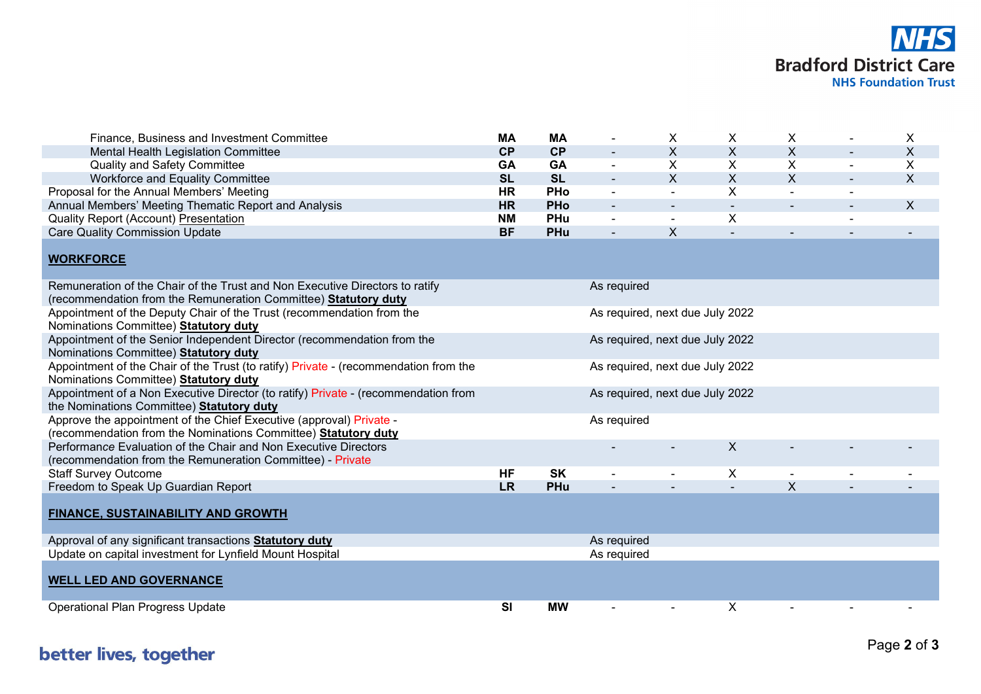

| Finance, Business and Investment Committee                                                                                                      | <b>MA</b>                       | <b>MA</b>  | $\blacksquare$                  | X              | X                         | X                         |                | X            |  |  |
|-------------------------------------------------------------------------------------------------------------------------------------------------|---------------------------------|------------|---------------------------------|----------------|---------------------------|---------------------------|----------------|--------------|--|--|
| Mental Health Legislation Committee                                                                                                             | <b>CP</b>                       | CP         |                                 | $\mathsf{X}$   | $\boldsymbol{\mathsf{X}}$ | X                         |                | $\mathsf X$  |  |  |
| <b>Quality and Safety Committee</b>                                                                                                             | GA                              | GA         | $\omega$                        | X              | X                         | X                         | $\blacksquare$ | Χ            |  |  |
| Workforce and Equality Committee                                                                                                                | <b>SL</b>                       | <b>SL</b>  |                                 | $\mathsf{X}$   | $\boldsymbol{\mathsf{X}}$ | $\mathsf{X}$              |                | $\mathsf X$  |  |  |
| Proposal for the Annual Members' Meeting                                                                                                        | <b>HR</b>                       | <b>PHo</b> | $\blacksquare$                  | $\omega$       | X                         | $\blacksquare$            | $\blacksquare$ |              |  |  |
| Annual Members' Meeting Thematic Report and Analysis                                                                                            | <b>HR</b>                       | <b>PHo</b> |                                 |                | $\sim$                    |                           | $\blacksquare$ | $\mathsf{X}$ |  |  |
| <b>Quality Report (Account) Presentation</b>                                                                                                    | NΜ                              | PHu        |                                 | $\blacksquare$ | Χ                         |                           |                |              |  |  |
| <b>Care Quality Commission Update</b>                                                                                                           | <b>BF</b>                       | <b>PHu</b> |                                 | X              |                           |                           |                |              |  |  |
| <b>WORKFORCE</b>                                                                                                                                |                                 |            |                                 |                |                           |                           |                |              |  |  |
| Remuneration of the Chair of the Trust and Non Executive Directors to ratify<br>(recommendation from the Remuneration Committee) Statutory duty |                                 |            | As required                     |                |                           |                           |                |              |  |  |
| Appointment of the Deputy Chair of the Trust (recommendation from the<br>Nominations Committee) Statutory duty                                  | As required, next due July 2022 |            |                                 |                |                           |                           |                |              |  |  |
| Appointment of the Senior Independent Director (recommendation from the<br>Nominations Committee) Statutory duty                                |                                 |            | As required, next due July 2022 |                |                           |                           |                |              |  |  |
| Appointment of the Chair of the Trust (to ratify) Private - (recommendation from the<br>Nominations Committee) Statutory duty                   |                                 |            | As required, next due July 2022 |                |                           |                           |                |              |  |  |
| Appointment of a Non Executive Director (to ratify) Private - (recommendation from<br>the Nominations Committee) Statutory duty                 |                                 |            | As required, next due July 2022 |                |                           |                           |                |              |  |  |
| Approve the appointment of the Chief Executive (approval) Private -<br>(recommendation from the Nominations Committee) Statutory duty           |                                 |            | As required                     |                |                           |                           |                |              |  |  |
| Performance Evaluation of the Chair and Non Executive Directors<br>(recommendation from the Remuneration Committee) - Private                   |                                 |            |                                 |                | $\sf X$                   |                           |                |              |  |  |
| <b>Staff Survey Outcome</b>                                                                                                                     | <b>HF</b>                       | <b>SK</b>  |                                 |                | X                         |                           |                |              |  |  |
| Freedom to Speak Up Guardian Report                                                                                                             | <b>LR</b>                       | PHu        |                                 |                |                           | $\boldsymbol{\mathsf{X}}$ |                |              |  |  |
| <b>FINANCE, SUSTAINABILITY AND GROWTH</b>                                                                                                       |                                 |            |                                 |                |                           |                           |                |              |  |  |
| Approval of any significant transactions <b>Statutory duty</b>                                                                                  |                                 |            | As required                     |                |                           |                           |                |              |  |  |
| Update on capital investment for Lynfield Mount Hospital                                                                                        |                                 |            | As required                     |                |                           |                           |                |              |  |  |
| <b>WELL LED AND GOVERNANCE</b>                                                                                                                  |                                 |            |                                 |                |                           |                           |                |              |  |  |
| <b>Operational Plan Progress Update</b>                                                                                                         | <b>SI</b>                       | <b>MW</b>  |                                 | $\blacksquare$ | X                         |                           |                |              |  |  |

## better lives, together